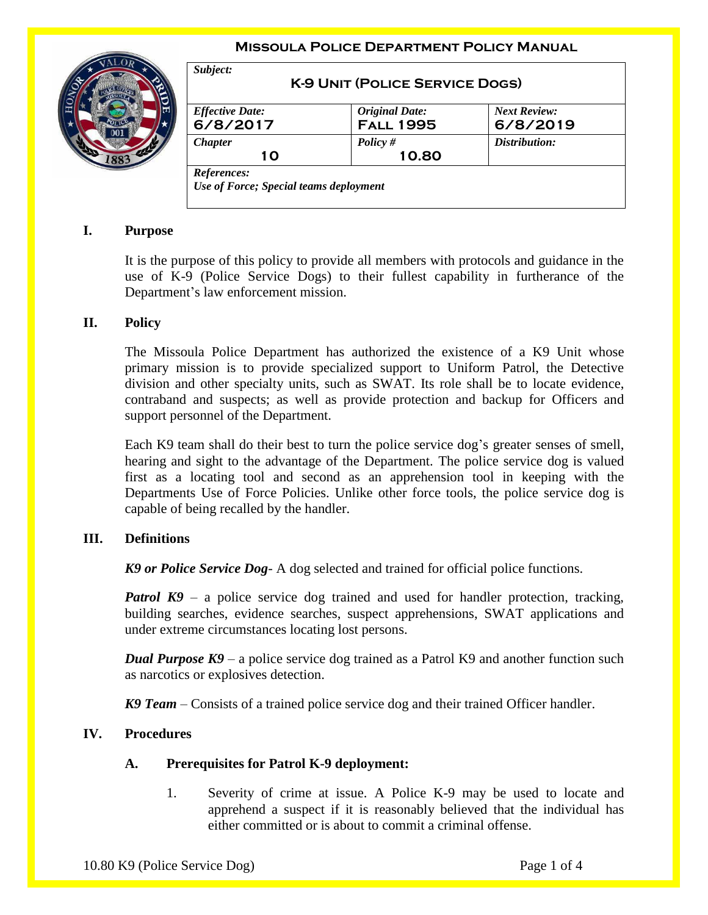#### **Missoula Police Department Policy Manual**



| <b>Effective Date:</b> | <b>Original Date:</b> | <b>Next Review:</b> |
|------------------------|-----------------------|---------------------|
| 6/8/2017               | <b>FALL 1995</b>      | 6/8/2019            |
| <b>Chapter</b>         | Policy $#$            | Distribution:       |
| 10                     | 10.80                 |                     |

# **I. Purpose**

It is the purpose of this policy to provide all members with protocols and guidance in the use of K-9 (Police Service Dogs) to their fullest capability in furtherance of the Department's law enforcement mission.

#### **II. Policy**

The Missoula Police Department has authorized the existence of a K9 Unit whose primary mission is to provide specialized support to Uniform Patrol, the Detective division and other specialty units, such as SWAT. Its role shall be to locate evidence, contraband and suspects; as well as provide protection and backup for Officers and support personnel of the Department.

Each K9 team shall do their best to turn the police service dog's greater senses of smell, hearing and sight to the advantage of the Department. The police service dog is valued first as a locating tool and second as an apprehension tool in keeping with the Departments Use of Force Policies. Unlike other force tools, the police service dog is capable of being recalled by the handler.

## **III. Definitions**

*K9 or Police Service Dog*- A dog selected and trained for official police functions.

*Patrol K9* – a police service dog trained and used for handler protection, tracking, building searches, evidence searches, suspect apprehensions, SWAT applications and under extreme circumstances locating lost persons.

*Dual Purpose K9* – a police service dog trained as a Patrol K9 and another function such as narcotics or explosives detection.

*K9 Team* – Consists of a trained police service dog and their trained Officer handler.

## **IV. Procedures**

#### **A. Prerequisites for Patrol K-9 deployment:**

1. Severity of crime at issue. A Police K-9 may be used to locate and apprehend a suspect if it is reasonably believed that the individual has either committed or is about to commit a criminal offense.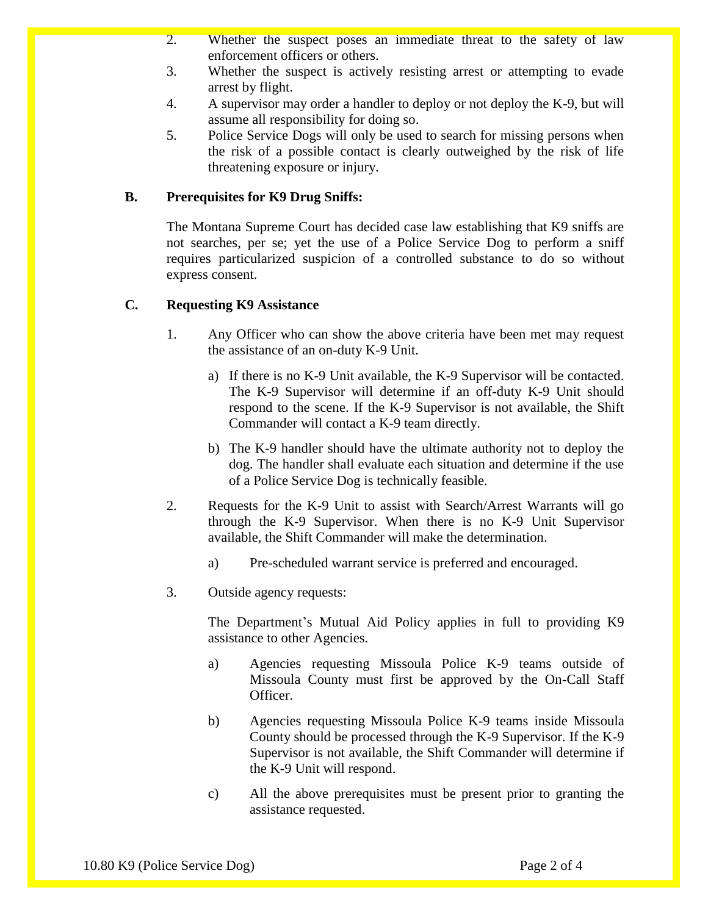- 2. Whether the suspect poses an immediate threat to the safety of law enforcement officers or others.
- 3. Whether the suspect is actively resisting arrest or attempting to evade arrest by flight.
- 4. A supervisor may order a handler to deploy or not deploy the K-9, but will assume all responsibility for doing so.
- 5. Police Service Dogs will only be used to search for missing persons when the risk of a possible contact is clearly outweighed by the risk of life threatening exposure or injury.

## **B. Prerequisites for K9 Drug Sniffs:**

The Montana Supreme Court has decided case law establishing that K9 sniffs are not searches, per se; yet the use of a Police Service Dog to perform a sniff requires particularized suspicion of a controlled substance to do so without express consent.

## **C. Requesting K9 Assistance**

- 1. Any Officer who can show the above criteria have been met may request the assistance of an on-duty K-9 Unit.
	- a) If there is no K-9 Unit available, the K-9 Supervisor will be contacted. The K-9 Supervisor will determine if an off-duty K-9 Unit should respond to the scene. If the K-9 Supervisor is not available, the Shift Commander will contact a K-9 team directly.
	- b) The K-9 handler should have the ultimate authority not to deploy the dog. The handler shall evaluate each situation and determine if the use of a Police Service Dog is technically feasible.
- 2. Requests for the K-9 Unit to assist with Search/Arrest Warrants will go through the K-9 Supervisor. When there is no K-9 Unit Supervisor available, the Shift Commander will make the determination.
	- a) Pre-scheduled warrant service is preferred and encouraged.
- 3. Outside agency requests:

The Department's Mutual Aid Policy applies in full to providing K9 assistance to other Agencies.

- a) Agencies requesting Missoula Police K-9 teams outside of Missoula County must first be approved by the On-Call Staff Officer.
- b) Agencies requesting Missoula Police K-9 teams inside Missoula County should be processed through the K-9 Supervisor. If the K-9 Supervisor is not available, the Shift Commander will determine if the K-9 Unit will respond.
- c) All the above prerequisites must be present prior to granting the assistance requested.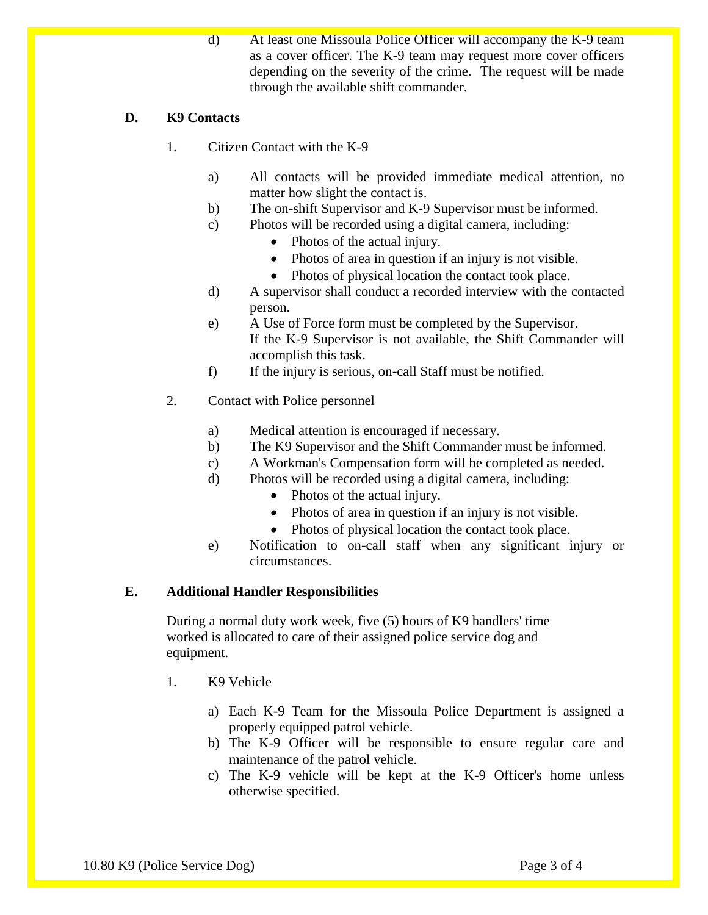d) At least one Missoula Police Officer will accompany the K-9 team as a cover officer. The K-9 team may request more cover officers depending on the severity of the crime. The request will be made through the available shift commander.

# **D. K9 Contacts**

- 1. Citizen Contact with the K-9
	- a) All contacts will be provided immediate medical attention, no matter how slight the contact is.
	- b) The on-shift Supervisor and K-9 Supervisor must be informed.
	- c) Photos will be recorded using a digital camera, including:
		- Photos of the actual injury.
		- Photos of area in question if an injury is not visible.
		- Photos of physical location the contact took place.
	- d) A supervisor shall conduct a recorded interview with the contacted person.
	- e) A Use of Force form must be completed by the Supervisor. If the K-9 Supervisor is not available, the Shift Commander will accomplish this task.
	- f) If the injury is serious, on-call Staff must be notified.
- 2. Contact with Police personnel
	- a) Medical attention is encouraged if necessary.
	- b) The K9 Supervisor and the Shift Commander must be informed.
	- c) A Workman's Compensation form will be completed as needed.
	- d) Photos will be recorded using a digital camera, including:
		- Photos of the actual injury.
		- Photos of area in question if an injury is not visible.
		- Photos of physical location the contact took place.
	- e) Notification to on-call staff when any significant injury or circumstances.

## **E. Additional Handler Responsibilities**

During a normal duty work week, five (5) hours of K9 handlers' time worked is allocated to care of their assigned police service dog and equipment.

- 1. K9 Vehicle
	- a) Each K-9 Team for the Missoula Police Department is assigned a properly equipped patrol vehicle.
	- b) The K-9 Officer will be responsible to ensure regular care and maintenance of the patrol vehicle.
	- c) The K-9 vehicle will be kept at the K-9 Officer's home unless otherwise specified.